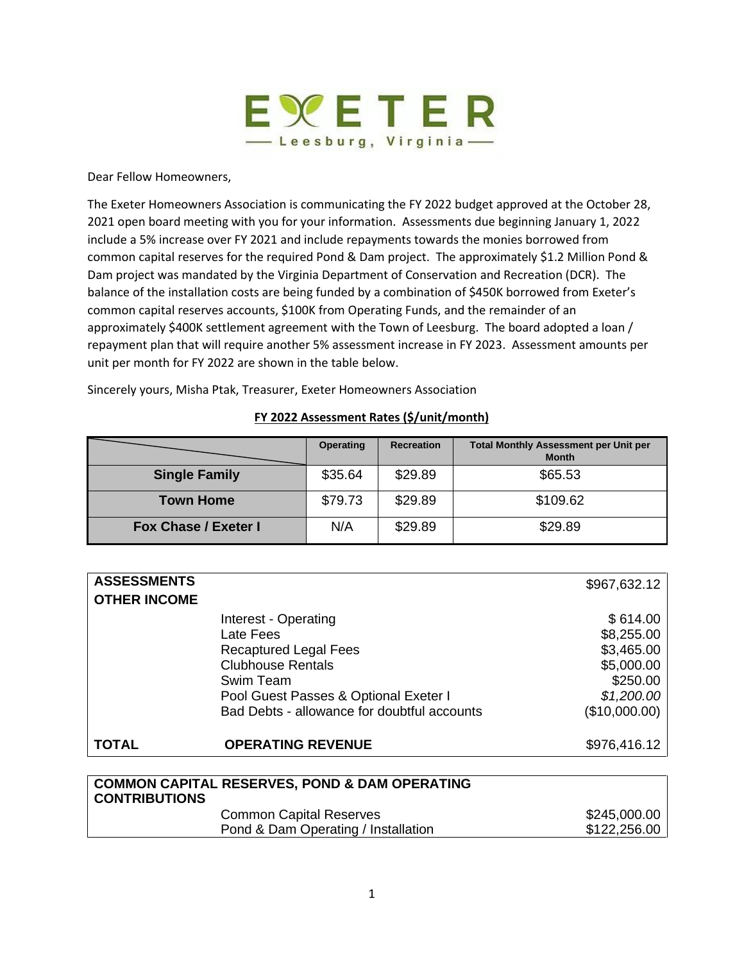

Dear Fellow Homeowners,

The Exeter Homeowners Association is communicating the FY 2022 budget approved at the October 28, 2021 open board meeting with you for your information. Assessments due beginning January 1, 2022 include a 5% increase over FY 2021 and include repayments towards the monies borrowed from common capital reserves for the required Pond & Dam project. The approximately \$1.2 Million Pond & Dam project was mandated by the Virginia Department of Conservation and Recreation (DCR). The balance of the installation costs are being funded by a combination of \$450K borrowed from Exeter's common capital reserves accounts, \$100K from Operating Funds, and the remainder of an approximately \$400K settlement agreement with the Town of Leesburg. The board adopted a loan / repayment plan that will require another 5% assessment increase in FY 2023. Assessment amounts per unit per month for FY 2022 are shown in the table below.

Sincerely yours, Misha Ptak, Treasurer, Exeter Homeowners Association

## **FY 2022 Assessment Rates (\$/unit/month)**

|                             | <b>Operating</b> | <b>Recreation</b> | <b>Total Monthly Assessment per Unit per</b><br><b>Month</b> |
|-----------------------------|------------------|-------------------|--------------------------------------------------------------|
| <b>Single Family</b>        | \$35.64          | \$29.89           | \$65.53                                                      |
| <b>Town Home</b>            | \$79.73          | \$29.89           | \$109.62                                                     |
| <b>Fox Chase / Exeter I</b> | N/A              | \$29.89           | \$29.89                                                      |

| <b>ASSESSMENTS</b>  |                                             | \$967,632.12  |
|---------------------|---------------------------------------------|---------------|
| <b>OTHER INCOME</b> |                                             |               |
|                     | Interest - Operating                        | \$614.00      |
|                     | Late Fees                                   | \$8,255.00    |
|                     | <b>Recaptured Legal Fees</b>                | \$3,465.00    |
|                     | <b>Clubhouse Rentals</b>                    | \$5,000.00    |
|                     | Swim Team                                   | \$250.00      |
|                     | Pool Guest Passes & Optional Exeter I       | \$1,200.00    |
|                     | Bad Debts - allowance for doubtful accounts | (\$10,000.00) |
| <b>TOTAL</b>        | <b>OPERATING REVENUE</b>                    | \$976,416.12  |
|                     |                                             |               |

| <b>COMMON CAPITAL RESERVES, POND &amp; DAM OPERATING</b><br><b>CONTRIBUTIONS</b> |              |  |
|----------------------------------------------------------------------------------|--------------|--|
| <b>Common Capital Reserves</b>                                                   | \$245,000.00 |  |
| Pond & Dam Operating / Installation                                              | \$122,256.00 |  |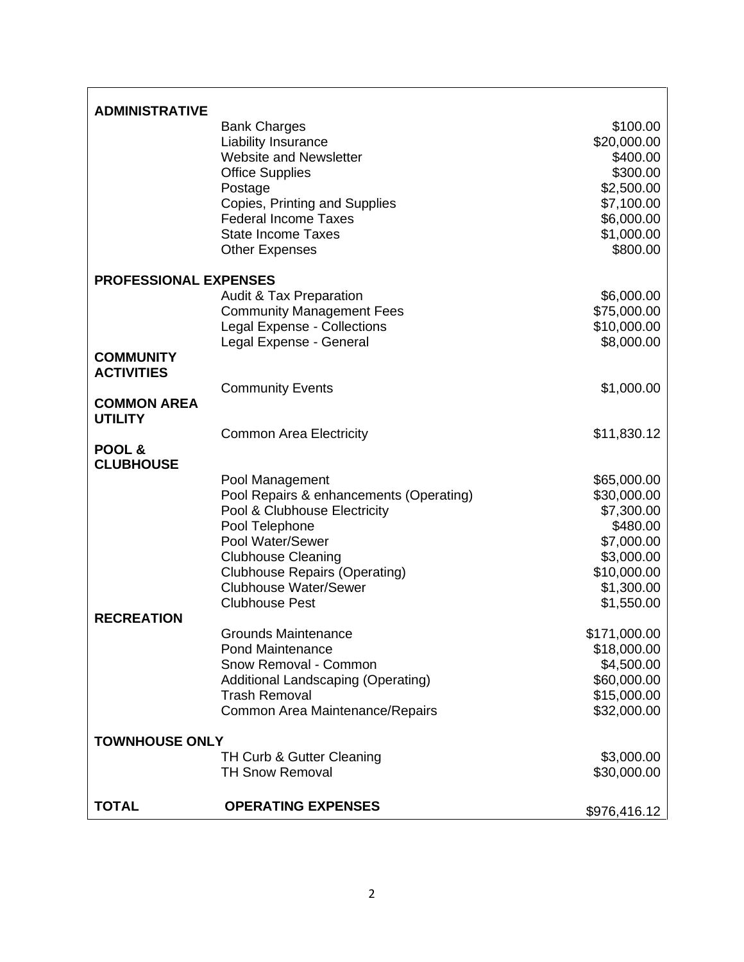| <b>ADMINISTRATIVE</b>                 |                                                                   |                           |
|---------------------------------------|-------------------------------------------------------------------|---------------------------|
|                                       | <b>Bank Charges</b>                                               | \$100.00                  |
|                                       | Liability Insurance                                               | \$20,000.00               |
|                                       | <b>Website and Newsletter</b>                                     | \$400.00                  |
|                                       | <b>Office Supplies</b>                                            | \$300.00                  |
|                                       | Postage                                                           | \$2,500.00                |
|                                       | Copies, Printing and Supplies<br><b>Federal Income Taxes</b>      | \$7,100.00<br>\$6,000.00  |
|                                       | <b>State Income Taxes</b>                                         | \$1,000.00                |
|                                       | <b>Other Expenses</b>                                             | \$800.00                  |
| <b>PROFESSIONAL EXPENSES</b>          |                                                                   |                           |
|                                       | <b>Audit &amp; Tax Preparation</b>                                | \$6,000.00                |
|                                       | <b>Community Management Fees</b>                                  | \$75,000.00               |
|                                       | Legal Expense - Collections                                       | \$10,000.00               |
|                                       | Legal Expense - General                                           | \$8,000.00                |
| <b>COMMUNITY</b><br><b>ACTIVITIES</b> |                                                                   |                           |
|                                       |                                                                   | \$1,000.00                |
| <b>COMMON AREA</b><br><b>UTILITY</b>  | <b>Community Events</b>                                           |                           |
|                                       | <b>Common Area Electricity</b>                                    | \$11,830.12               |
| POOL &                                |                                                                   |                           |
| <b>CLUBHOUSE</b>                      |                                                                   |                           |
|                                       | Pool Management                                                   | \$65,000.00               |
|                                       | Pool Repairs & enhancements (Operating)                           | \$30,000.00               |
|                                       | Pool & Clubhouse Electricity                                      | \$7,300.00                |
|                                       | Pool Telephone                                                    | \$480.00                  |
|                                       | Pool Water/Sewer                                                  | \$7,000.00                |
|                                       | <b>Clubhouse Cleaning</b><br><b>Clubhouse Repairs (Operating)</b> | \$3,000.00<br>\$10,000.00 |
|                                       | <b>Clubhouse Water/Sewer</b>                                      | \$1,300.00                |
|                                       | <b>Clubhouse Pest</b>                                             | \$1,550.00                |
| <b>RECREATION</b>                     |                                                                   |                           |
|                                       | <b>Grounds Maintenance</b>                                        | \$171,000.00              |
|                                       | <b>Pond Maintenance</b>                                           | \$18,000.00               |
|                                       | Snow Removal - Common                                             | \$4,500.00<br>\$60,000.00 |
|                                       | Additional Landscaping (Operating)<br><b>Trash Removal</b>        | \$15,000.00               |
|                                       | Common Area Maintenance/Repairs                                   | \$32,000.00               |
| <b>TOWNHOUSE ONLY</b>                 |                                                                   |                           |
|                                       | TH Curb & Gutter Cleaning                                         | \$3,000.00                |
|                                       | <b>TH Snow Removal</b>                                            | \$30,000.00               |
| <b>TOTAL</b>                          | <b>OPERATING EXPENSES</b>                                         | \$976,416.12              |